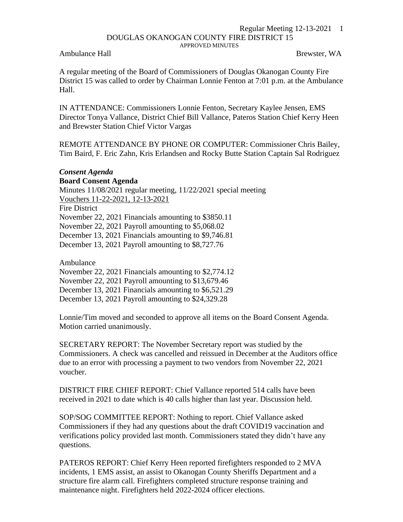## Regular Meeting 12-13-2021 1 DOUGLAS OKANOGAN COUNTY FIRE DISTRICT 15 APPROVED MINUTES

Ambulance Hall Brewster, WA

A regular meeting of the Board of Commissioners of Douglas Okanogan County Fire District 15 was called to order by Chairman Lonnie Fenton at 7:01 p.m. at the Ambulance Hall.

IN ATTENDANCE: Commissioners Lonnie Fenton, Secretary Kaylee Jensen, EMS Director Tonya Vallance, District Chief Bill Vallance, Pateros Station Chief Kerry Heen and Brewster Station Chief Victor Vargas

REMOTE ATTENDANCE BY PHONE OR COMPUTER: Commissioner Chris Bailey, Tim Baird, F. Eric Zahn, Kris Erlandsen and Rocky Butte Station Captain Sal Rodriguez

## *Consent Agenda*

## **Board Consent Agenda**

Minutes 11/08/2021 regular meeting, 11/22/2021 special meeting Vouchers 11-22-2021, 12-13-2021

Fire District

November 22, 2021 Financials amounting to \$3850.11

November 22, 2021 Payroll amounting to \$5,068.02

December 13, 2021 Financials amounting to \$9,746.81

December 13, 2021 Payroll amounting to \$8,727.76

Ambulance

November 22, 2021 Financials amounting to \$2,774.12

November 22, 2021 Payroll amounting to \$13,679.46

December 13, 2021 Financials amounting to \$6,521.29

December 13, 2021 Payroll amounting to \$24,329.28

Lonnie/Tim moved and seconded to approve all items on the Board Consent Agenda. Motion carried unanimously.

SECRETARY REPORT: The November Secretary report was studied by the Commissioners. A check was cancelled and reissued in December at the Auditors office due to an error with processing a payment to two vendors from November 22, 2021 voucher.

DISTRICT FIRE CHIEF REPORT: Chief Vallance reported 514 calls have been received in 2021 to date which is 40 calls higher than last year. Discussion held.

SOP/SOG COMMITTEE REPORT: Nothing to report. Chief Vallance asked Commissioners if they had any questions about the draft COVID19 vaccination and verifications policy provided last month. Commissioners stated they didn't have any questions.

PATEROS REPORT: Chief Kerry Heen reported firefighters responded to 2 MVA incidents, 1 EMS assist, an assist to Okanogan County Sheriffs Department and a structure fire alarm call. Firefighters completed structure response training and maintenance night. Firefighters held 2022-2024 officer elections.